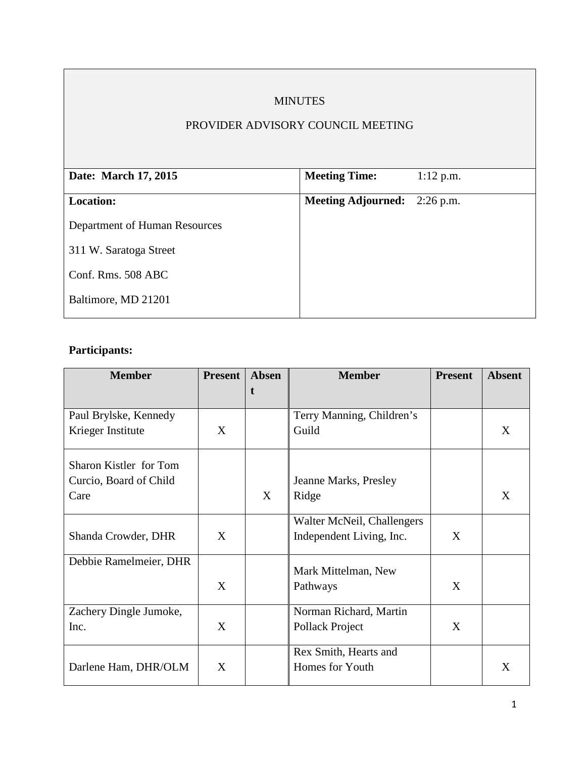# MINUTES

# PROVIDER ADVISORY COUNCIL MEETING

| Date: March 17, 2015          | <b>Meeting Time:</b>                | $1:12$ p.m. |
|-------------------------------|-------------------------------------|-------------|
|                               |                                     |             |
| <b>Location:</b>              | <b>Meeting Adjourned:</b> 2:26 p.m. |             |
| Department of Human Resources |                                     |             |
| 311 W. Saratoga Street        |                                     |             |
| Conf. Rms. 508 ABC            |                                     |             |
| Baltimore, MD 21201           |                                     |             |
|                               |                                     |             |

# **Participants:**

| <b>Member</b>          | <b>Present</b> | Absen | <b>Member</b>              | <b>Present</b> | <b>Absent</b> |
|------------------------|----------------|-------|----------------------------|----------------|---------------|
|                        |                | t     |                            |                |               |
| Paul Brylske, Kennedy  |                |       | Terry Manning, Children's  |                |               |
| Krieger Institute      | X              |       | Guild                      |                | X             |
| Sharon Kistler for Tom |                |       |                            |                |               |
| Curcio, Board of Child |                |       | Jeanne Marks, Presley      |                |               |
| Care                   |                | X     | Ridge                      |                | X             |
|                        |                |       | Walter McNeil, Challengers |                |               |
| Shanda Crowder, DHR    | X              |       | Independent Living, Inc.   | X              |               |
| Debbie Ramelmeier, DHR |                |       | Mark Mittelman, New        |                |               |
|                        | X              |       | Pathways                   | X              |               |
| Zachery Dingle Jumoke, |                |       | Norman Richard, Martin     |                |               |
| Inc.                   | X              |       | Pollack Project            | X              |               |
|                        |                |       | Rex Smith, Hearts and      |                |               |
| Darlene Ham, DHR/OLM   | X              |       | Homes for Youth            |                | X             |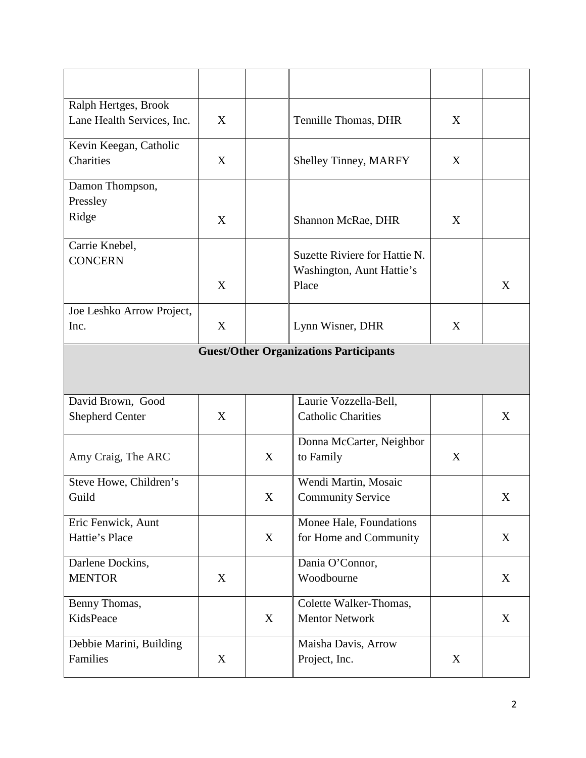| Ralph Hertges, Brook                          |   |             |                               |   |   |  |  |
|-----------------------------------------------|---|-------------|-------------------------------|---|---|--|--|
| Lane Health Services, Inc.                    | X |             | Tennille Thomas, DHR          | X |   |  |  |
| Kevin Keegan, Catholic                        |   |             |                               |   |   |  |  |
| Charities                                     | X |             | <b>Shelley Tinney, MARFY</b>  | X |   |  |  |
| Damon Thompson,                               |   |             |                               |   |   |  |  |
| Pressley                                      |   |             |                               |   |   |  |  |
| Ridge                                         | X |             | Shannon McRae, DHR            | X |   |  |  |
| Carrie Knebel,                                |   |             |                               |   |   |  |  |
| <b>CONCERN</b>                                |   |             | Suzette Riviere for Hattie N. |   |   |  |  |
|                                               |   |             | Washington, Aunt Hattie's     |   |   |  |  |
|                                               | X |             | Place                         |   | X |  |  |
| Joe Leshko Arrow Project,                     |   |             |                               |   |   |  |  |
| Inc.                                          | X |             | Lynn Wisner, DHR              | X |   |  |  |
| <b>Guest/Other Organizations Participants</b> |   |             |                               |   |   |  |  |
|                                               |   |             |                               |   |   |  |  |
|                                               |   |             |                               |   |   |  |  |
| David Brown, Good                             |   |             | Laurie Vozzella-Bell,         |   |   |  |  |
| <b>Shepherd Center</b>                        | X |             | <b>Catholic Charities</b>     |   | X |  |  |
|                                               |   |             |                               |   |   |  |  |
|                                               |   |             | Donna McCarter, Neighbor      |   |   |  |  |
| Amy Craig, The ARC                            |   | X           | to Family                     | X |   |  |  |
| Steve Howe, Children's                        |   |             | Wendi Martin, Mosaic          |   |   |  |  |
| Guild                                         |   | $\mathbf X$ | <b>Community Service</b>      |   | X |  |  |
|                                               |   |             |                               |   |   |  |  |
| Eric Fenwick, Aunt<br>Hattie's Place          |   | X           | Monee Hale, Foundations       |   | X |  |  |
|                                               |   |             | for Home and Community        |   |   |  |  |
| Darlene Dockins,                              |   |             | Dania O'Connor,               |   |   |  |  |
| <b>MENTOR</b>                                 | X |             | Woodbourne                    |   | X |  |  |
|                                               |   |             |                               |   |   |  |  |
| Benny Thomas,                                 |   |             | Colette Walker-Thomas,        |   |   |  |  |
| KidsPeace                                     |   | X           | <b>Mentor Network</b>         |   | X |  |  |
| Debbie Marini, Building                       |   |             | Maisha Davis, Arrow           |   |   |  |  |
| Families                                      | X |             | Project, Inc.                 | X |   |  |  |
|                                               |   |             |                               |   |   |  |  |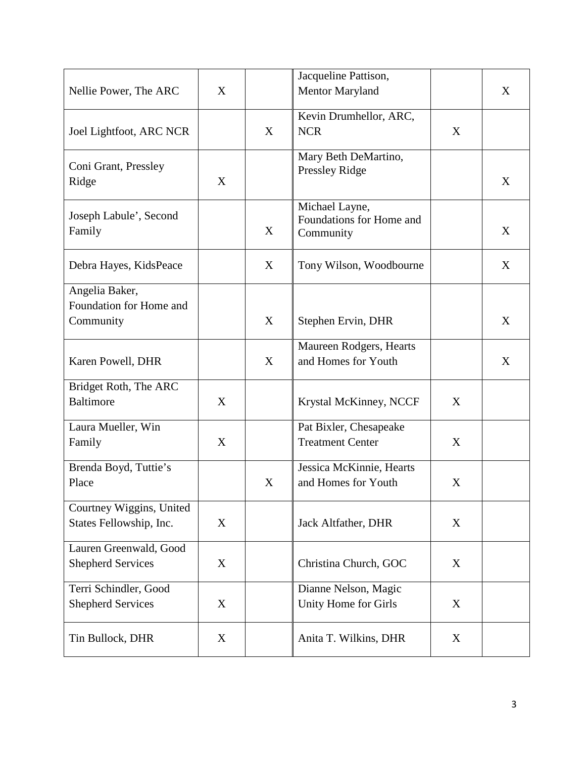|                               |   |   | Jacqueline Pattison,     |   |   |
|-------------------------------|---|---|--------------------------|---|---|
| Nellie Power, The ARC         | X |   | Mentor Maryland          |   | X |
|                               |   |   | Kevin Drumhellor, ARC,   |   |   |
| Joel Lightfoot, ARC NCR       |   | X | <b>NCR</b>               | X |   |
|                               |   |   | Mary Beth DeMartino,     |   |   |
| Coni Grant, Pressley<br>Ridge | X |   | Pressley Ridge           |   | X |
|                               |   |   |                          |   |   |
|                               |   |   | Michael Layne,           |   |   |
| Joseph Labule', Second        |   | X | Foundations for Home and |   | X |
| Family                        |   |   | Community                |   |   |
| Debra Hayes, KidsPeace        |   | X | Tony Wilson, Woodbourne  |   | X |
| Angelia Baker,                |   |   |                          |   |   |
| Foundation for Home and       |   |   |                          |   |   |
| Community                     |   | X | Stephen Ervin, DHR       |   | X |
|                               |   |   |                          |   |   |
|                               |   |   | Maureen Rodgers, Hearts  |   |   |
| Karen Powell, DHR             |   | X | and Homes for Youth      |   | X |
| Bridget Roth, The ARC         |   |   |                          |   |   |
| <b>Baltimore</b>              | X |   | Krystal McKinney, NCCF   | X |   |
| Laura Mueller, Win            |   |   | Pat Bixler, Chesapeake   |   |   |
| Family                        | X |   | <b>Treatment Center</b>  | X |   |
| Brenda Boyd, Tuttie's         |   |   | Jessica McKinnie, Hearts |   |   |
| Place                         |   | X | and Homes for Youth      | X |   |
|                               |   |   |                          |   |   |
| Courtney Wiggins, United      |   |   |                          |   |   |
| States Fellowship, Inc.       | X |   | Jack Altfather, DHR      | X |   |
| Lauren Greenwald, Good        |   |   |                          |   |   |
| <b>Shepherd Services</b>      | X |   | Christina Church, GOC    | X |   |
|                               |   |   |                          |   |   |
| Terri Schindler, Good         | X |   | Dianne Nelson, Magic     |   |   |
| <b>Shepherd Services</b>      |   |   | Unity Home for Girls     | X |   |
| Tin Bullock, DHR              | X |   | Anita T. Wilkins, DHR    | X |   |
|                               |   |   |                          |   |   |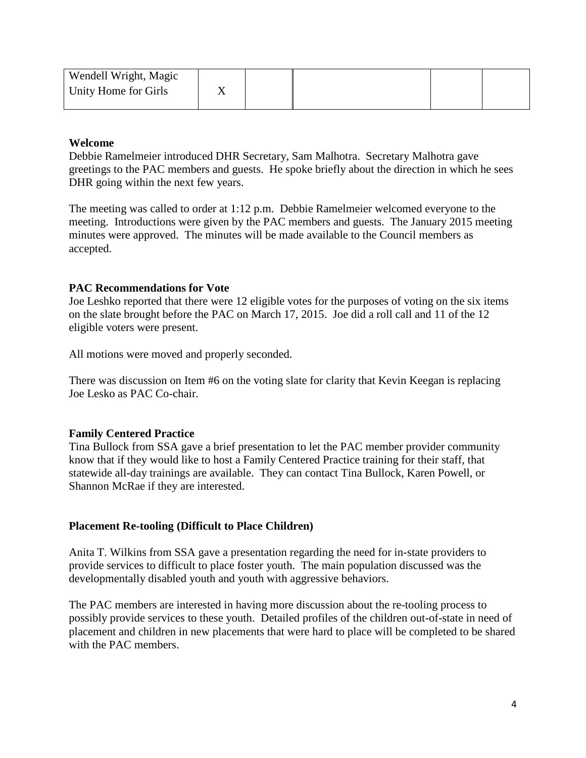| Wendell Wright, Magic |  |  |  |
|-----------------------|--|--|--|
| Unity Home for Girls  |  |  |  |
|                       |  |  |  |

#### **Welcome**

Debbie Ramelmeier introduced DHR Secretary, Sam Malhotra. Secretary Malhotra gave greetings to the PAC members and guests. He spoke briefly about the direction in which he sees DHR going within the next few years.

The meeting was called to order at 1:12 p.m. Debbie Ramelmeier welcomed everyone to the meeting. Introductions were given by the PAC members and guests. The January 2015 meeting minutes were approved. The minutes will be made available to the Council members as accepted.

#### **PAC Recommendations for Vote**

Joe Leshko reported that there were 12 eligible votes for the purposes of voting on the six items on the slate brought before the PAC on March 17, 2015. Joe did a roll call and 11 of the 12 eligible voters were present.

All motions were moved and properly seconded.

There was discussion on Item #6 on the voting slate for clarity that Kevin Keegan is replacing Joe Lesko as PAC Co-chair.

#### **Family Centered Practice**

Tina Bullock from SSA gave a brief presentation to let the PAC member provider community know that if they would like to host a Family Centered Practice training for their staff, that statewide all-day trainings are available. They can contact Tina Bullock, Karen Powell, or Shannon McRae if they are interested.

#### **Placement Re-tooling (Difficult to Place Children)**

Anita T. Wilkins from SSA gave a presentation regarding the need for in-state providers to provide services to difficult to place foster youth. The main population discussed was the developmentally disabled youth and youth with aggressive behaviors.

The PAC members are interested in having more discussion about the re-tooling process to possibly provide services to these youth. Detailed profiles of the children out-of-state in need of placement and children in new placements that were hard to place will be completed to be shared with the PAC members.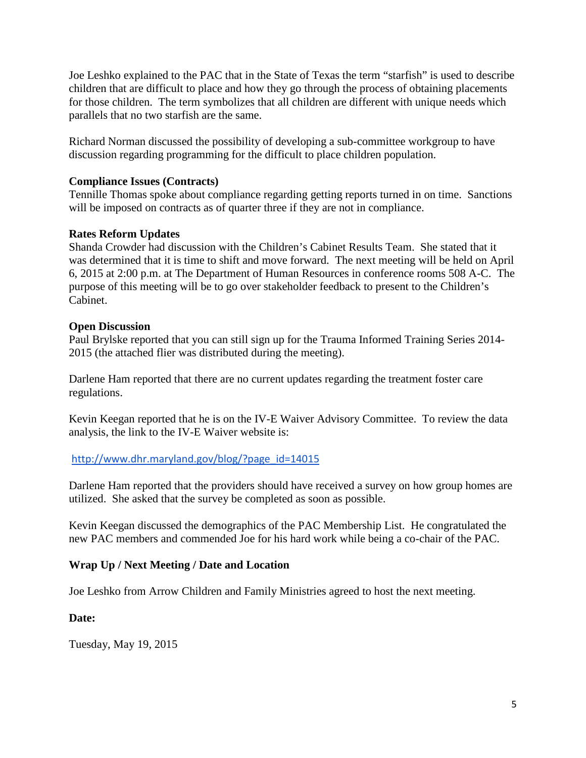Joe Leshko explained to the PAC that in the State of Texas the term "starfish" is used to describe children that are difficult to place and how they go through the process of obtaining placements for those children. The term symbolizes that all children are different with unique needs which parallels that no two starfish are the same.

Richard Norman discussed the possibility of developing a sub-committee workgroup to have discussion regarding programming for the difficult to place children population.

## **Compliance Issues (Contracts)**

Tennille Thomas spoke about compliance regarding getting reports turned in on time. Sanctions will be imposed on contracts as of quarter three if they are not in compliance.

# **Rates Reform Updates**

Shanda Crowder had discussion with the Children's Cabinet Results Team. She stated that it was determined that it is time to shift and move forward. The next meeting will be held on April 6, 2015 at 2:00 p.m. at The Department of Human Resources in conference rooms 508 A-C. The purpose of this meeting will be to go over stakeholder feedback to present to the Children's Cabinet.

## **Open Discussion**

Paul Brylske reported that you can still sign up for the Trauma Informed Training Series 2014- 2015 (the attached flier was distributed during the meeting).

Darlene Ham reported that there are no current updates regarding the treatment foster care regulations.

Kevin Keegan reported that he is on the IV-E Waiver Advisory Committee. To review the data analysis, the link to the IV-E Waiver website is:

## [http://www.dhr.maryland.gov/blog/?page\\_id=14015](http://www.dhr.maryland.gov/blog/?page_id=14015)

Darlene Ham reported that the providers should have received a survey on how group homes are utilized. She asked that the survey be completed as soon as possible.

Kevin Keegan discussed the demographics of the PAC Membership List. He congratulated the new PAC members and commended Joe for his hard work while being a co-chair of the PAC.

## **Wrap Up / Next Meeting / Date and Location**

Joe Leshko from Arrow Children and Family Ministries agreed to host the next meeting.

## **Date:**

Tuesday, May 19, 2015